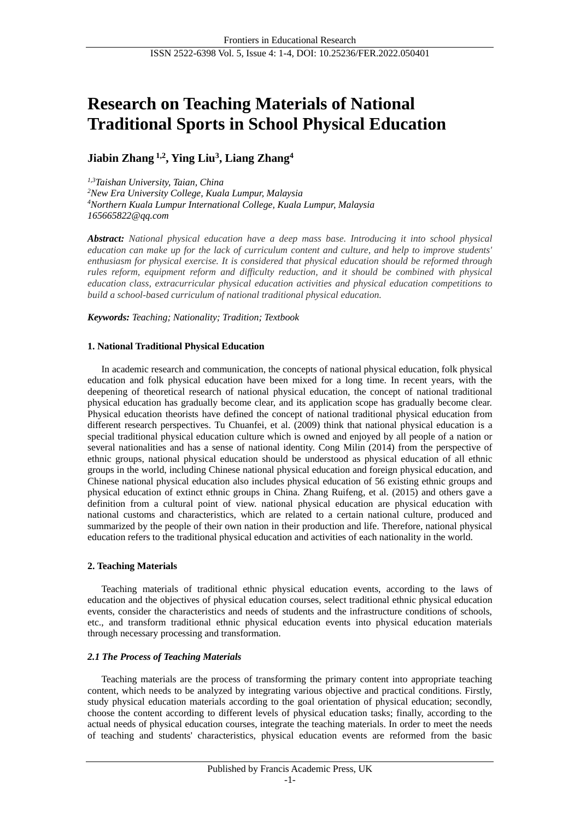# **Research on Teaching Materials of National Traditional Sports in School Physical Education**

# **Jiabin Zhang 1,2 , Ying Liu<sup>3</sup> , Liang Zhang<sup>4</sup>**

*1,3Taishan University, Taian, China <sup>2</sup>New Era University College, Kuala Lumpur, Malaysia <sup>4</sup>Northern Kuala Lumpur International College, Kuala Lumpur, Malaysia 165665822@qq.com*

*Abstract: National physical education have a deep mass base. Introducing it into school physical education can make up for the lack of curriculum content and culture, and help to improve students' enthusiasm for physical exercise. It is considered that physical education should be reformed through rules reform, equipment reform and difficulty reduction, and it should be combined with physical education class, extracurricular physical education activities and physical education competitions to build a school-based curriculum of national traditional physical education.*

*Keywords: Teaching; Nationality; Tradition; Textbook*

# **1. National Traditional Physical Education**

In academic research and communication, the concepts of national physical education, folk physical education and folk physical education have been mixed for a long time. In recent years, with the deepening of theoretical research of national physical education, the concept of national traditional physical education has gradually become clear, and its application scope has gradually become clear. Physical education theorists have defined the concept of national traditional physical education from different research perspectives. Tu Chuanfei, et al. (2009) think that national physical education is a special traditional physical education culture which is owned and enjoyed by all people of a nation or several nationalities and has a sense of national identity. Cong Milin (2014) from the perspective of ethnic groups, national physical education should be understood as physical education of all ethnic groups in the world, including Chinese national physical education and foreign physical education, and Chinese national physical education also includes physical education of 56 existing ethnic groups and physical education of extinct ethnic groups in China. Zhang Ruifeng, et al. (2015) and others gave a definition from a cultural point of view. national physical education are physical education with national customs and characteristics, which are related to a certain national culture, produced and summarized by the people of their own nation in their production and life. Therefore, national physical education refers to the traditional physical education and activities of each nationality in the world.

# **2. Teaching Materials**

Teaching materials of traditional ethnic physical education events, according to the laws of education and the objectives of physical education courses, select traditional ethnic physical education events, consider the characteristics and needs of students and the infrastructure conditions of schools, etc., and transform traditional ethnic physical education events into physical education materials through necessary processing and transformation.

# *2.1 The Process of Teaching Materials*

Teaching materials are the process of transforming the primary content into appropriate teaching content, which needs to be analyzed by integrating various objective and practical conditions. Firstly, study physical education materials according to the goal orientation of physical education; secondly, choose the content according to different levels of physical education tasks; finally, according to the actual needs of physical education courses, integrate the teaching materials. In order to meet the needs of teaching and students' characteristics, physical education events are reformed from the basic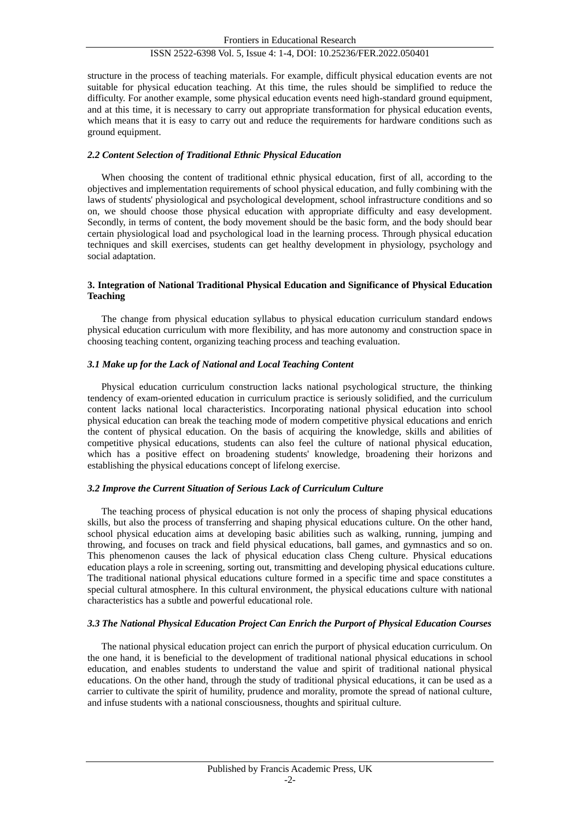# ISSN 2522-6398 Vol. 5, Issue 4: 1-4, DOI: 10.25236/FER.2022.050401

structure in the process of teaching materials. For example, difficult physical education events are not suitable for physical education teaching. At this time, the rules should be simplified to reduce the difficulty. For another example, some physical education events need high-standard ground equipment, and at this time, it is necessary to carry out appropriate transformation for physical education events, which means that it is easy to carry out and reduce the requirements for hardware conditions such as ground equipment.

# *2.2 Content Selection of Traditional Ethnic Physical Education*

When choosing the content of traditional ethnic physical education, first of all, according to the objectives and implementation requirements of school physical education, and fully combining with the laws of students' physiological and psychological development, school infrastructure conditions and so on, we should choose those physical education with appropriate difficulty and easy development. Secondly, in terms of content, the body movement should be the basic form, and the body should bear certain physiological load and psychological load in the learning process. Through physical education techniques and skill exercises, students can get healthy development in physiology, psychology and social adaptation.

# **3. Integration of National Traditional Physical Education and Significance of Physical Education Teaching**

The change from physical education syllabus to physical education curriculum standard endows physical education curriculum with more flexibility, and has more autonomy and construction space in choosing teaching content, organizing teaching process and teaching evaluation.

#### *3.1 Make up for the Lack of National and Local Teaching Content*

Physical education curriculum construction lacks national psychological structure, the thinking tendency of exam-oriented education in curriculum practice is seriously solidified, and the curriculum content lacks national local characteristics. Incorporating national physical education into school physical education can break the teaching mode of modern competitive physical educations and enrich the content of physical education. On the basis of acquiring the knowledge, skills and abilities of competitive physical educations, students can also feel the culture of national physical education, which has a positive effect on broadening students' knowledge, broadening their horizons and establishing the physical educations concept of lifelong exercise.

#### *3.2 Improve the Current Situation of Serious Lack of Curriculum Culture*

The teaching process of physical education is not only the process of shaping physical educations skills, but also the process of transferring and shaping physical educations culture. On the other hand, school physical education aims at developing basic abilities such as walking, running, jumping and throwing, and focuses on track and field physical educations, ball games, and gymnastics and so on. This phenomenon causes the lack of physical education class Cheng culture. Physical educations education plays a role in screening, sorting out, transmitting and developing physical educations culture. The traditional national physical educations culture formed in a specific time and space constitutes a special cultural atmosphere. In this cultural environment, the physical educations culture with national characteristics has a subtle and powerful educational role.

# *3.3 The National Physical Education Project Can Enrich the Purport of Physical Education Courses*

The national physical education project can enrich the purport of physical education curriculum. On the one hand, it is beneficial to the development of traditional national physical educations in school education, and enables students to understand the value and spirit of traditional national physical educations. On the other hand, through the study of traditional physical educations, it can be used as a carrier to cultivate the spirit of humility, prudence and morality, promote the spread of national culture, and infuse students with a national consciousness, thoughts and spiritual culture.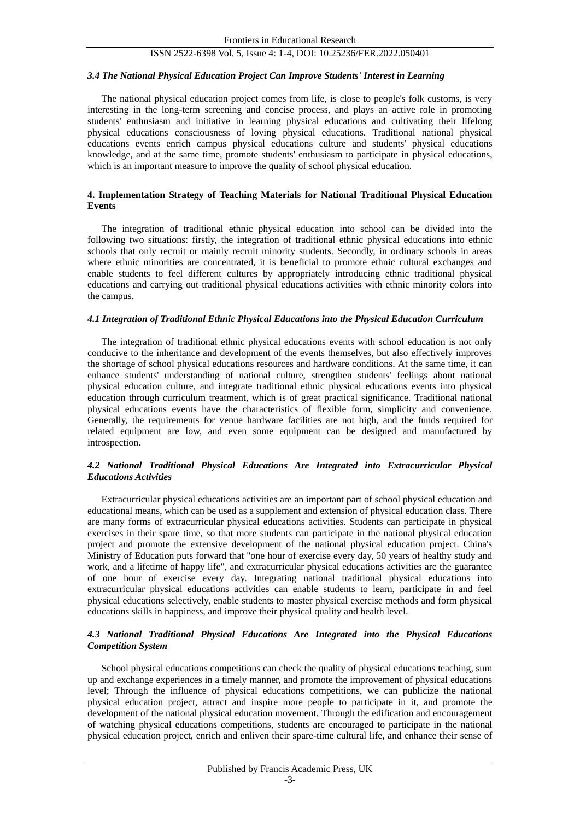# ISSN 2522-6398 Vol. 5, Issue 4: 1-4, DOI: 10.25236/FER.2022.050401

# *3.4 The National Physical Education Project Can Improve Students' Interest in Learning*

The national physical education project comes from life, is close to people's folk customs, is very interesting in the long-term screening and concise process, and plays an active role in promoting students' enthusiasm and initiative in learning physical educations and cultivating their lifelong physical educations consciousness of loving physical educations. Traditional national physical educations events enrich campus physical educations culture and students' physical educations knowledge, and at the same time, promote students' enthusiasm to participate in physical educations, which is an important measure to improve the quality of school physical education.

# **4. Implementation Strategy of Teaching Materials for National Traditional Physical Education Events**

The integration of traditional ethnic physical education into school can be divided into the following two situations: firstly, the integration of traditional ethnic physical educations into ethnic schools that only recruit or mainly recruit minority students. Secondly, in ordinary schools in areas where ethnic minorities are concentrated, it is beneficial to promote ethnic cultural exchanges and enable students to feel different cultures by appropriately introducing ethnic traditional physical educations and carrying out traditional physical educations activities with ethnic minority colors into the campus.

## *4.1 Integration of Traditional Ethnic Physical Educations into the Physical Education Curriculum*

The integration of traditional ethnic physical educations events with school education is not only conducive to the inheritance and development of the events themselves, but also effectively improves the shortage of school physical educations resources and hardware conditions. At the same time, it can enhance students' understanding of national culture, strengthen students' feelings about national physical education culture, and integrate traditional ethnic physical educations events into physical education through curriculum treatment, which is of great practical significance. Traditional national physical educations events have the characteristics of flexible form, simplicity and convenience. Generally, the requirements for venue hardware facilities are not high, and the funds required for related equipment are low, and even some equipment can be designed and manufactured by introspection.

# *4.2 National Traditional Physical Educations Are Integrated into Extracurricular Physical Educations Activities*

Extracurricular physical educations activities are an important part of school physical education and educational means, which can be used as a supplement and extension of physical education class. There are many forms of extracurricular physical educations activities. Students can participate in physical exercises in their spare time, so that more students can participate in the national physical education project and promote the extensive development of the national physical education project. China's Ministry of Education puts forward that "one hour of exercise every day, 50 years of healthy study and work, and a lifetime of happy life", and extracurricular physical educations activities are the guarantee of one hour of exercise every day. Integrating national traditional physical educations into extracurricular physical educations activities can enable students to learn, participate in and feel physical educations selectively, enable students to master physical exercise methods and form physical educations skills in happiness, and improve their physical quality and health level.

# *4.3 National Traditional Physical Educations Are Integrated into the Physical Educations Competition System*

School physical educations competitions can check the quality of physical educations teaching, sum up and exchange experiences in a timely manner, and promote the improvement of physical educations level; Through the influence of physical educations competitions, we can publicize the national physical education project, attract and inspire more people to participate in it, and promote the development of the national physical education movement. Through the edification and encouragement of watching physical educations competitions, students are encouraged to participate in the national physical education project, enrich and enliven their spare-time cultural life, and enhance their sense of